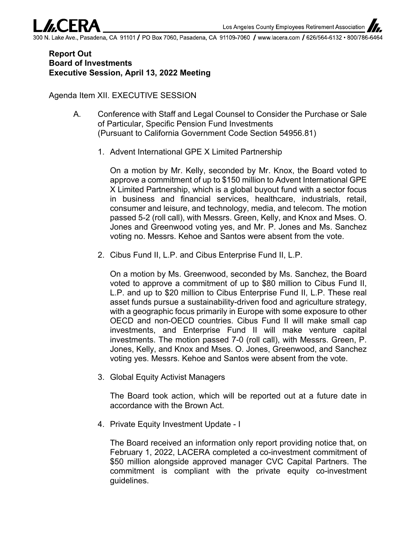Lake Ave., Pasadena, CA 91101 **/** PO Box 7060, Pasadena, CA 91109-7060 **/** www.lacera.com **/** 626/564-6132 • 800/786-6464

## **Report Out Board of Investments Executive Session, April 13, 2022 Meeting**

Agenda Item XII. EXECUTIVE SESSION

- A. Conference with Staff and Legal Counsel to Consider the Purchase or Sale of Particular, Specific Pension Fund Investments (Pursuant to California Government Code Section 54956.81)
	- 1. Advent International GPE X Limited Partnership

On a motion by Mr. Kelly, seconded by Mr. Knox, the Board voted to approve a commitment of up to \$150 million to Advent International GPE X Limited Partnership, which is a global buyout fund with a sector focus in business and financial services, healthcare, industrials, retail, consumer and leisure, and technology, media, and telecom. The motion passed 5-2 (roll call), with Messrs. Green, Kelly, and Knox and Mses. O. Jones and Greenwood voting yes, and Mr. P. Jones and Ms. Sanchez voting no. Messrs. Kehoe and Santos were absent from the vote.

2. Cibus Fund II, L.P. and Cibus Enterprise Fund II, L.P.

On a motion by Ms. Greenwood, seconded by Ms. Sanchez, the Board voted to approve a commitment of up to \$80 million to Cibus Fund II, L.P. and up to \$20 million to Cibus Enterprise Fund II, L.P. These real asset funds pursue a sustainability-driven food and agriculture strategy, with a geographic focus primarily in Europe with some exposure to other OECD and non-OECD countries. Cibus Fund II will make small cap investments, and Enterprise Fund II will make venture capital investments. The motion passed 7-0 (roll call), with Messrs. Green, P. Jones, Kelly, and Knox and Mses. O. Jones, Greenwood, and Sanchez voting yes. Messrs. Kehoe and Santos were absent from the vote.

3. Global Equity Activist Managers

The Board took action, which will be reported out at a future date in accordance with the Brown Act.

4. Private Equity Investment Update - I

The Board received an information only report providing notice that, on February 1, 2022, LACERA completed a co-investment commitment of \$50 million alongside approved manager CVC Capital Partners. The commitment is compliant with the private equity co-investment guidelines.